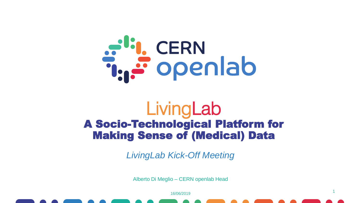

#### LivingLab A Socio-Technological Platform for Making Sense of (Medical) Data

*LivingLab Kick-Off Meeting*

Alberto Di Meglio – CERN openlab Head

16/06/2019

1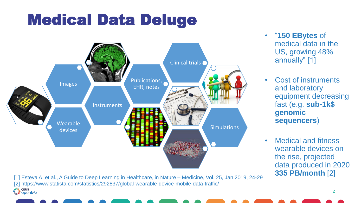### Medical Data Deluge



• "**150 EBytes** of medical data in the US, growing 48% annually" [1]

- Cost of instruments and laboratory equipment decreasing fast (e.g. **sub-1k\$ genomic sequencers**)
- Medical and fitness wearable devices on the rise, projected data produced in 2020 **335 PB/month** [2]

[1] Esteva A. et al., A Guide to Deep Learning in Healthcare, in Nature – Medicine, Vol. 25, Jan 2019, 24-29 [2] https://www.statista.com/statistics/292837/global-wearable-device-mobile-data-traffic/<br>
atin central com/statistics/292837/global-wearable-device-mobile-data-traffic/<br>
decreased at a com/statistics/292837/global-wearab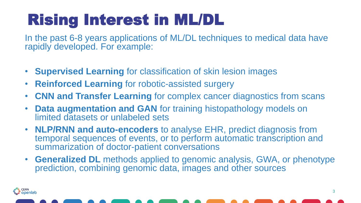# Rising Interest in ML/DL

In the past 6-8 years applications of ML/DL techniques to medical data have rapidly developed. For example:

- **Supervised Learning** for classification of skin lesion images
- **Reinforced Learning** for robotic-assisted surgery

r<sup>ı;</sup>ı, cern<br>İ:**::::: Openlab** 

- **CNN and Transfer Learning** for complex cancer diagnostics from scans
- **Data augmentation and GAN** for training histopathology models on limited datasets or unlabeled sets
- **NLP/RNN and auto-encoders** to analyse EHR, predict diagnosis from temporal sequences of events, or to perform automatic transcription and summarization of doctor-patient conversations
- **Generalized DL** methods applied to genomic analysis, GWA, or phenotype prediction, combining genomic data, images and other sources

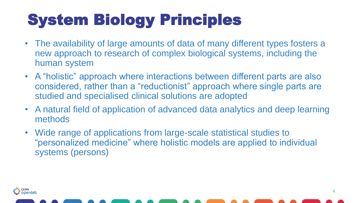# System Biology Principles

- The availability of large amounts of data of many different types fosters a new approach to research of complex biological systems, including the human system
- A "holistic" approach where interactions between different parts are also considered, rather than a "reductionist" approach where single parts are studied and specialised clinical solutions are adopted
- A natural field of application of advanced data analytics and deep learning methods
- Wide range of applications from large-scale statistical studies to "personalized medicine" where holistic models are applied to individual systems (persons)

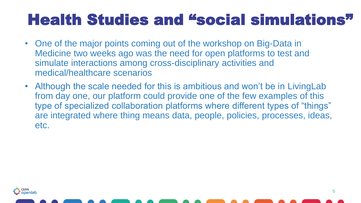### Health Studies and "social simulations"

- One of the major points coming out of the workshop on Big-Data in Medicine two weeks ago was the need for open platforms to test and simulate interactions among cross-disciplinary activities and medical/healthcare scenarios
- Although the scale needed for this is ambitious and won't be in LivingLab from day one, our platform could provide one of the few examples of this type of specialized collaboration platforms where different types of "things" are integrated where thing means data, people, policies, processes, ideas, etc.



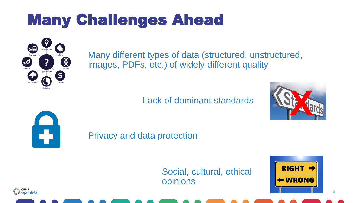# Many Challenges Ahead



Many different types of data (structured, unstructured, images, PDFs, etc.) of widely different quality

Lack of dominant standards



Privacy and data protection

Social, cultural, ethical opinions



6



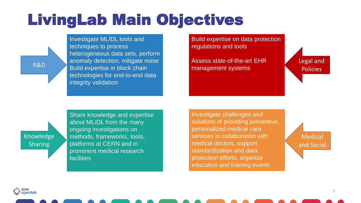### LivingLab Main Objectives

R&D

Investigate ML/DL tools and techniques to process heterogeneous data sets, perform anomaly detection, mitigate noise Build expertise in block chain technologies for end-to-end data integrity validation

Build expertise on data protection regulations and tools

Assess state-of-the-art EHR management systems

Legal and Policies

Knowledge **Sharing** 

Share knowledge and expertise about ML/DL from the many ongoing investigations on methods, frameworks, tools, platforms at CERN and in prominent medical research facilities

Investigate challenges and solutions of providing preventive, personalized medical care services in collaboration with medical doctors, support standardization and data protection efforts, organize education and training events

Medical and Social

ان<mark>ے،</mark> CERN<br>تابی<sup>ق</sup> openlab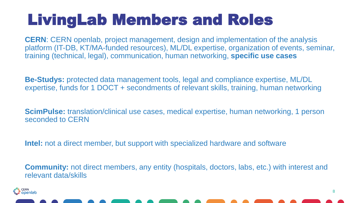## LivingLab Members and Roles

**CERN**: CERN openlab, project management, design and implementation of the analysis platform (IT-DB, KT/MA-funded resources), ML/DL expertise, organization of events, seminar, training (technical, legal), communication, human networking, **specific use cases**

**Be-Studys:** protected data management tools, legal and compliance expertise, ML/DL expertise, funds for 1 DOCT + secondments of relevant skills, training, human networking

**ScimPulse:** translation/clinical use cases, medical expertise, human networking, 1 person seconded to CERN

**Intel:** not a direct member, but support with specialized hardware and software

**Community:** not direct members, any entity (hospitals, doctors, labs, etc.) with interest and relevant data/skills



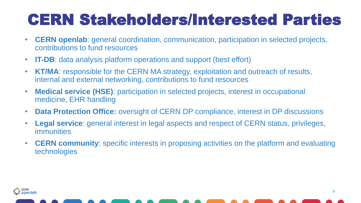## CERN Stakeholders/Interested Parties

- **CERN openlab**: general coordination, communication, participation in selected projects, contributions to fund resources
- **IT-DB**: data analysis platform operations and support (best effort)
- **KT/MA**: responsible for the CERN MA strategy, exploitation and outreach of results, internal and external networking, contributions to fund resources
- **Medical service (HSE)**: participation in selected projects, interest in occupational medicine, EHR handling
- **Data Protection Office:** oversight of CERN DP compliance, interest in DP discussions
- **Legal service**: general interest in legal aspects and respect of CERN status, privileges, immunities
- **CERN community**: specific interests in proposing activities on the platform and evaluating technologies



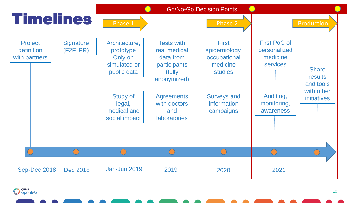

at<mark>i,</mark> CERN<br>تشریف Openlab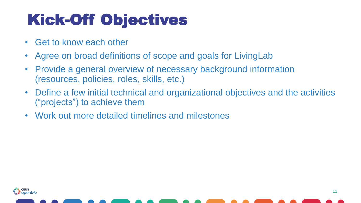# Kick-Off Objectives

- Get to know each other
- Agree on broad definitions of scope and goals for LivingLab
- Provide a general overview of necessary background information (resources, policies, roles, skills, etc.)
- Define a few initial technical and organizational objectives and the activities ("projects") to achieve them
- Work out more detailed timelines and milestones



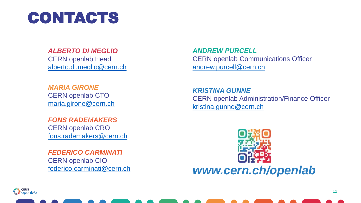

#### *ALBERTO DI MEGLIO*

CERN openlab Head [alberto.di.meglio@cern.ch](mailto:alberto.di.meglio@cern.ch)

*MARIA GIRONE*  CERN openlab CTO [maria.girone@cern.ch](mailto:maria.girone@cern.ch)

*FONS RADEMAKERS*  CERN openlab CRO [fons.rademakers@cern.ch](mailto:fons.rademakers@cern.ch)

*FEDERICO CARMINATI*  CERN openlab CIO [federico.carminati@cern.ch](mailto:federico.carminati@cern.ch)

*ANDREW PURCELL*  CERN openlab Communications Officer [andrew.purcell@cern.ch](mailto:andrew.purcell@cern.ch)

*KRISTINA GUNNE*  CERN openlab Administration/Finance Officer [kristina.gunne@cern.ch](mailto:kristina.gunne@cern.ch)